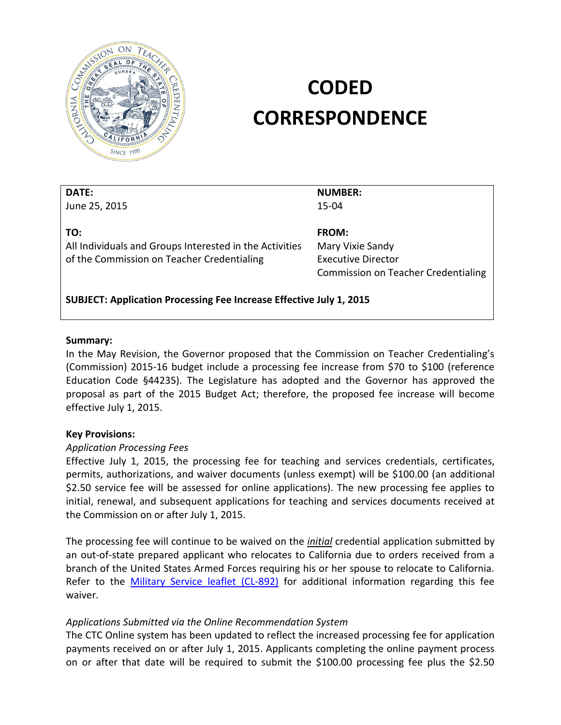

# **CODED CORRESPONDENCE**

| DAIL:         |  |
|---------------|--|
| June 25, 2015 |  |

**NUMBER:**  15-04

**TO:** 

**DATE:** 

All Individuals and Groups Interested in the Activities of the Commission on Teacher Credentialing

**FROM:**  Mary Vixie Sandy Executive Director Commission on Teacher Credentialing

**SUBJECT: Application Processing Fee Increase Effective July 1, 2015** 

#### **Summary:**

In the May Revision, the Governor proposed that the Commission on Teacher Credentialing's (Commission) 2015-16 budget include a processing fee increase from \$70 to \$100 (reference Education Code §44235). The Legislature has adopted and the Governor has approved the proposal as part of the 2015 Budget Act; therefore, the proposed fee increase will become effective July 1, 2015.

#### **Key Provisions:**

#### *Application Processing Fees*

Effective July 1, 2015, the processing fee for teaching and services credentials, certificates, permits, authorizations, and waiver documents (unless exempt) will be \$100.00 (an additional \$2.50 service fee will be assessed for online applications). The new processing fee applies to initial, renewal, and subsequent applications for teaching and services documents received at the Commission on or after July 1, 2015.

The processing fee will continue to be waived on the *initial* credential application submitted by an out-of-state prepared applicant who relocates to California due to orders received from a branch of the United States Armed Forces requiring his or her spouse to relocate to California. Refer to the Military Service leaflet (CL-892) for additional information regarding this fee waiver.

#### *Applications Submitted via the Online Recommendation System*

The CTC Online system has been updated to reflect the increased processing fee for application payments received on or after July 1, 2015. Applicants completing the online payment process on or after that date will be required to submit the \$100.00 processing fee plus the \$2.50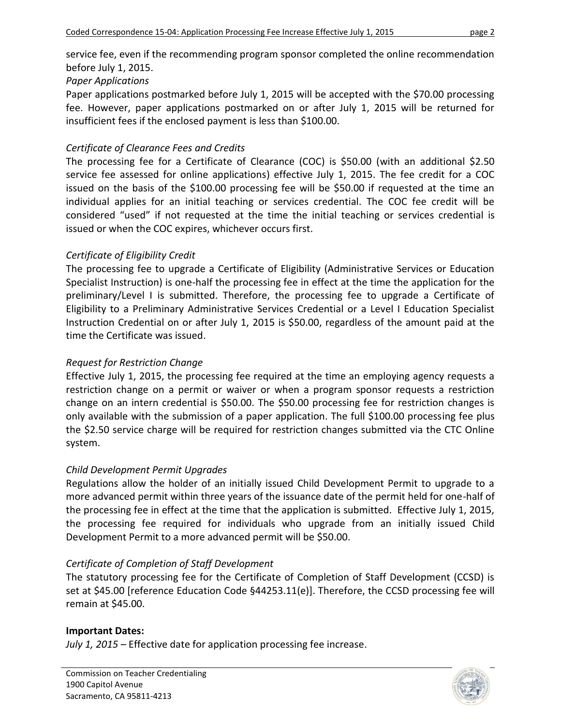service fee, even if the recommending program sponsor completed the online recommendation before July 1, 2015.

# *Paper Applications*

Paper applications postmarked before July 1, 2015 will be accepted with the \$70.00 processing fee. However, paper applications postmarked on or after July 1, 2015 will be returned for insufficient fees if the enclosed payment is less than \$100.00.

## *Certificate of Clearance Fees and Credits*

The processing fee for a Certificate of Clearance (COC) is \$50.00 (with an additional \$2.50 service fee assessed for online applications) effective July 1, 2015. The fee credit for a COC issued on the basis of the \$100.00 processing fee will be \$50.00 if requested at the time an individual applies for an initial teaching or services credential. The COC fee credit will be considered "used" if not requested at the time the initial teaching or services credential is issued or when the COC expires, whichever occurs first.

# *Certificate of Eligibility Credit*

The processing fee to upgrade a Certificate of Eligibility (Administrative Services or Education Specialist Instruction) is one-half the processing fee in effect at the time the application for the preliminary/Level I is submitted. Therefore, the processing fee to upgrade a Certificate of Eligibility to a Preliminary Administrative Services Credential or a Level I Education Specialist Instruction Credential on or after July 1, 2015 is \$50.00, regardless of the amount paid at the time the Certificate was issued.

# *Request for Restriction Change*

Effective July 1, 2015, the processing fee required at the time an employing agency requests a restriction change on a permit or waiver or when a program sponsor requests a restriction change on an intern credential is \$50.00. The \$50.00 processing fee for restriction changes is only available with the submission of a paper application. The full \$100.00 processing fee plus the \$2.50 service charge will be required for restriction changes submitted via the CTC Online system.

# *Child Development Permit Upgrades*

Regulations allow the holder of an initially issued Child Development Permit to upgrade to a more advanced permit within three years of the issuance date of the permit held for one-half of the processing fee in effect at the time that the application is submitted. Effective July 1, 2015, the processing fee required for individuals who upgrade from an initially issued Child Development Permit to a more advanced permit will be \$50.00.

# *Certificate of Completion of Staff Development*

The statutory processing fee for the Certificate of Completion of Staff Development (CCSD) is set at \$45.00 [reference Education Code §44253.11(e)]. Therefore, the CCSD processing fee will remain at \$45.00.

## **Important Dates:**

*July 1, 2015 –* Effective date for application processing fee increase.